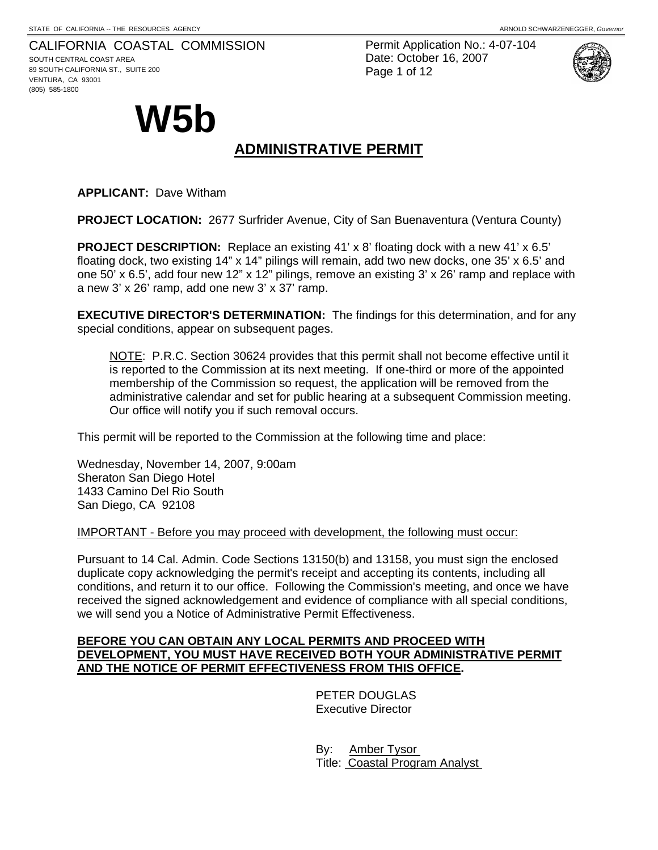#### CALIFORNIA COASTAL COMMISSION

SOUTH CENTRAL COAST AREA 89 SOUTH CALIFORNIA ST., SUITE 200 VENTURA, CA 93001 (805) 585-1800

Permit Application No.: 4-07-104 Date: October 16, 2007 Page 1 of 12



# **W5b**

# **ADMINISTRATIVE PERMIT**

**APPLICANT:** Dave Witham

**PROJECT LOCATION:** 2677 Surfrider Avenue, City of San Buenaventura (Ventura County)

**PROJECT DESCRIPTION:** Replace an existing 41' x 8' floating dock with a new 41' x 6.5' floating dock, two existing 14" x 14" pilings will remain, add two new docks, one 35' x 6.5' and one 50' x 6.5', add four new 12" x 12" pilings, remove an existing 3' x 26' ramp and replace with a new 3' x 26' ramp, add one new 3' x 37' ramp.

**EXECUTIVE DIRECTOR'S DETERMINATION:** The findings for this determination, and for any special conditions, appear on subsequent pages.

NOTE: P.R.C. Section 30624 provides that this permit shall not become effective until it is reported to the Commission at its next meeting. If one-third or more of the appointed membership of the Commission so request, the application will be removed from the administrative calendar and set for public hearing at a subsequent Commission meeting. Our office will notify you if such removal occurs.

This permit will be reported to the Commission at the following time and place:

Wednesday, November 14, 2007, 9:00am Sheraton San Diego Hotel 1433 Camino Del Rio South San Diego, CA 92108

IMPORTANT - Before you may proceed with development, the following must occur:

Pursuant to 14 Cal. Admin. Code Sections 13150(b) and 13158, you must sign the enclosed duplicate copy acknowledging the permit's receipt and accepting its contents, including all conditions, and return it to our office. Following the Commission's meeting, and once we have received the signed acknowledgement and evidence of compliance with all special conditions, we will send you a Notice of Administrative Permit Effectiveness.

#### **BEFORE YOU CAN OBTAIN ANY LOCAL PERMITS AND PROCEED WITH DEVELOPMENT, YOU MUST HAVE RECEIVED BOTH YOUR ADMINISTRATIVE PERMIT AND THE NOTICE OF PERMIT EFFECTIVENESS FROM THIS OFFICE.**

 PETER DOUGLAS Executive Director

 By: Amber Tysor Title: Coastal Program Analyst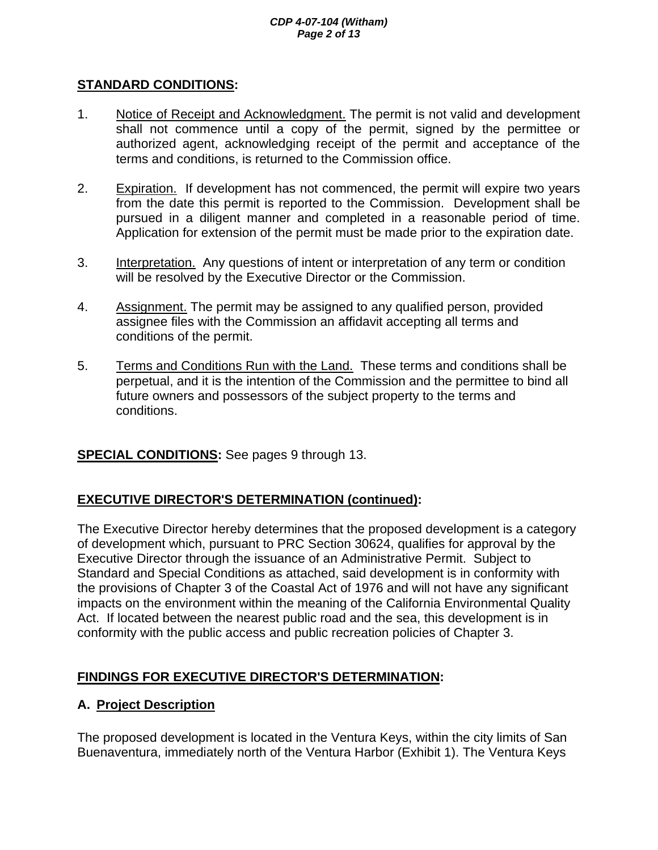#### *CDP 4-07-104 (Witham) Page 2 of 13*

#### **STANDARD CONDITIONS:**

- 1. Notice of Receipt and Acknowledgment. The permit is not valid and development shall not commence until a copy of the permit, signed by the permittee or authorized agent, acknowledging receipt of the permit and acceptance of the terms and conditions, is returned to the Commission office.
- 2. Expiration. If development has not commenced, the permit will expire two years from the date this permit is reported to the Commission. Development shall be pursued in a diligent manner and completed in a reasonable period of time. Application for extension of the permit must be made prior to the expiration date.
- 3. Interpretation. Any questions of intent or interpretation of any term or condition will be resolved by the Executive Director or the Commission.
- 4. Assignment. The permit may be assigned to any qualified person, provided assignee files with the Commission an affidavit accepting all terms and conditions of the permit.
- 5. Terms and Conditions Run with the Land. These terms and conditions shall be perpetual, and it is the intention of the Commission and the permittee to bind all future owners and possessors of the subject property to the terms and conditions.

## **SPECIAL CONDITIONS:** See pages 9 through 13.

## **EXECUTIVE DIRECTOR'S DETERMINATION (continued):**

The Executive Director hereby determines that the proposed development is a category of development which, pursuant to PRC Section 30624, qualifies for approval by the Executive Director through the issuance of an Administrative Permit. Subject to Standard and Special Conditions as attached, said development is in conformity with the provisions of Chapter 3 of the Coastal Act of 1976 and will not have any significant impacts on the environment within the meaning of the California Environmental Quality Act. If located between the nearest public road and the sea, this development is in conformity with the public access and public recreation policies of Chapter 3.

## **FINDINGS FOR EXECUTIVE DIRECTOR'S DETERMINATION:**

## **A. Project Description**

The proposed development is located in the Ventura Keys, within the city limits of San Buenaventura, immediately north of the Ventura Harbor (Exhibit 1). The Ventura Keys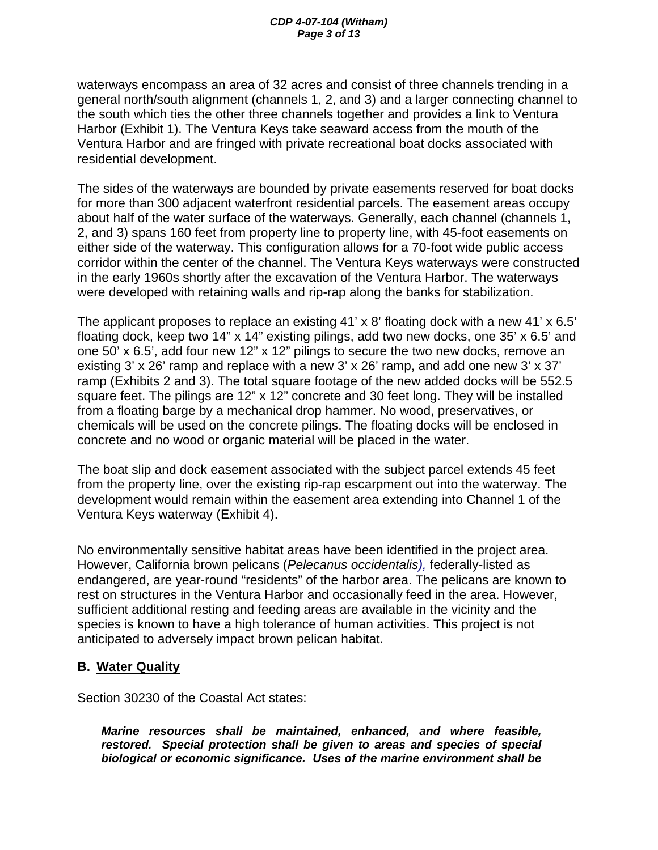waterways encompass an area of 32 acres and consist of three channels trending in a general north/south alignment (channels 1, 2, and 3) and a larger connecting channel to the south which ties the other three channels together and provides a link to Ventura Harbor (Exhibit 1). The Ventura Keys take seaward access from the mouth of the Ventura Harbor and are fringed with private recreational boat docks associated with residential development.

The sides of the waterways are bounded by private easements reserved for boat docks for more than 300 adjacent waterfront residential parcels. The easement areas occupy about half of the water surface of the waterways. Generally, each channel (channels 1, 2, and 3) spans 160 feet from property line to property line, with 45-foot easements on either side of the waterway. This configuration allows for a 70-foot wide public access corridor within the center of the channel. The Ventura Keys waterways were constructed in the early 1960s shortly after the excavation of the Ventura Harbor. The waterways were developed with retaining walls and rip-rap along the banks for stabilization.

The applicant proposes to replace an existing 41' x 8' floating dock with a new 41' x 6.5' floating dock, keep two 14" x 14" existing pilings, add two new docks, one 35' x 6.5' and one 50' x 6.5', add four new 12" x 12" pilings to secure the two new docks, remove an existing 3' x 26' ramp and replace with a new 3' x 26' ramp, and add one new 3' x 37' ramp (Exhibits 2 and 3). The total square footage of the new added docks will be 552.5 square feet. The pilings are 12" x 12" concrete and 30 feet long. They will be installed from a floating barge by a mechanical drop hammer. No wood, preservatives, or chemicals will be used on the concrete pilings. The floating docks will be enclosed in concrete and no wood or organic material will be placed in the water.

The boat slip and dock easement associated with the subject parcel extends 45 feet from the property line, over the existing rip-rap escarpment out into the waterway. The development would remain within the easement area extending into Channel 1 of the Ventura Keys waterway (Exhibit 4).

No environmentally sensitive habitat areas have been identified in the project area. However, California brown pelicans (*Pelecanus occidentalis),* federally-listed as endangered, are year-round "residents" of the harbor area. The pelicans are known to rest on structures in the Ventura Harbor and occasionally feed in the area. However, sufficient additional resting and feeding areas are available in the vicinity and the species is known to have a high tolerance of human activities. This project is not anticipated to adversely impact brown pelican habitat.

#### **B. Water Quality**

Section 30230 of the Coastal Act states:

*Marine resources shall be maintained, enhanced, and where feasible, restored. Special protection shall be given to areas and species of special biological or economic significance. Uses of the marine environment shall be*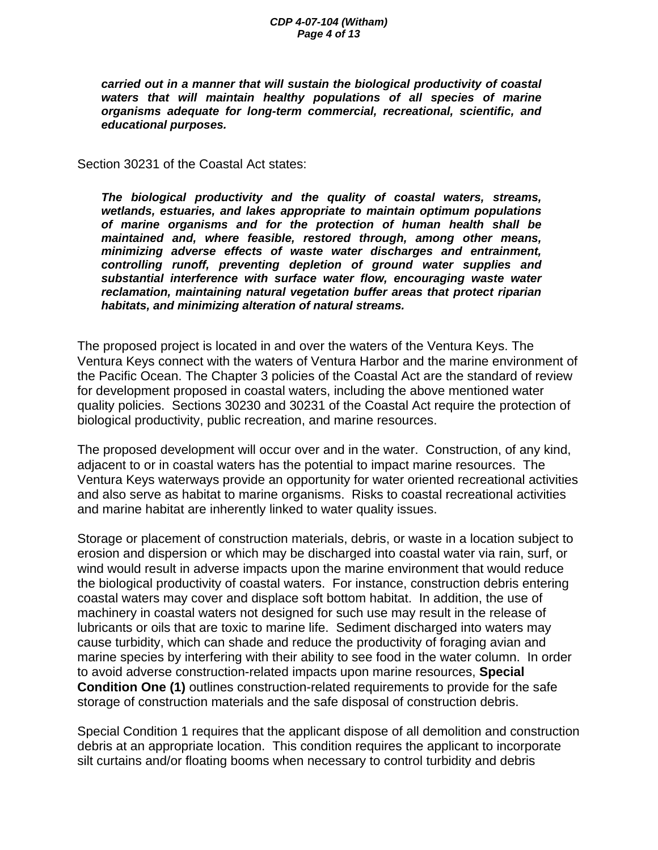#### *CDP 4-07-104 (Witham) Page 4 of 13*

*carried out in a manner that will sustain the biological productivity of coastal waters that will maintain healthy populations of all species of marine organisms adequate for long-term commercial, recreational, scientific, and educational purposes.* 

Section 30231 of the Coastal Act states:

*The biological productivity and the quality of coastal waters, streams, wetlands, estuaries, and lakes appropriate to maintain optimum populations of marine organisms and for the protection of human health shall be maintained and, where feasible, restored through, among other means, minimizing adverse effects of waste water discharges and entrainment, controlling runoff, preventing depletion of ground water supplies and substantial interference with surface water flow, encouraging waste water reclamation, maintaining natural vegetation buffer areas that protect riparian habitats, and minimizing alteration of natural streams.* 

The proposed project is located in and over the waters of the Ventura Keys. The Ventura Keys connect with the waters of Ventura Harbor and the marine environment of the Pacific Ocean. The Chapter 3 policies of the Coastal Act are the standard of review for development proposed in coastal waters, including the above mentioned water quality policies. Sections 30230 and 30231 of the Coastal Act require the protection of biological productivity, public recreation, and marine resources.

The proposed development will occur over and in the water. Construction, of any kind, adjacent to or in coastal waters has the potential to impact marine resources. The Ventura Keys waterways provide an opportunity for water oriented recreational activities and also serve as habitat to marine organisms. Risks to coastal recreational activities and marine habitat are inherently linked to water quality issues.

Storage or placement of construction materials, debris, or waste in a location subject to erosion and dispersion or which may be discharged into coastal water via rain, surf, or wind would result in adverse impacts upon the marine environment that would reduce the biological productivity of coastal waters. For instance, construction debris entering coastal waters may cover and displace soft bottom habitat. In addition, the use of machinery in coastal waters not designed for such use may result in the release of lubricants or oils that are toxic to marine life. Sediment discharged into waters may cause turbidity, which can shade and reduce the productivity of foraging avian and marine species by interfering with their ability to see food in the water column. In order to avoid adverse construction-related impacts upon marine resources, **Special Condition One (1)** outlines construction-related requirements to provide for the safe storage of construction materials and the safe disposal of construction debris.

Special Condition 1 requires that the applicant dispose of all demolition and construction debris at an appropriate location. This condition requires the applicant to incorporate silt curtains and/or floating booms when necessary to control turbidity and debris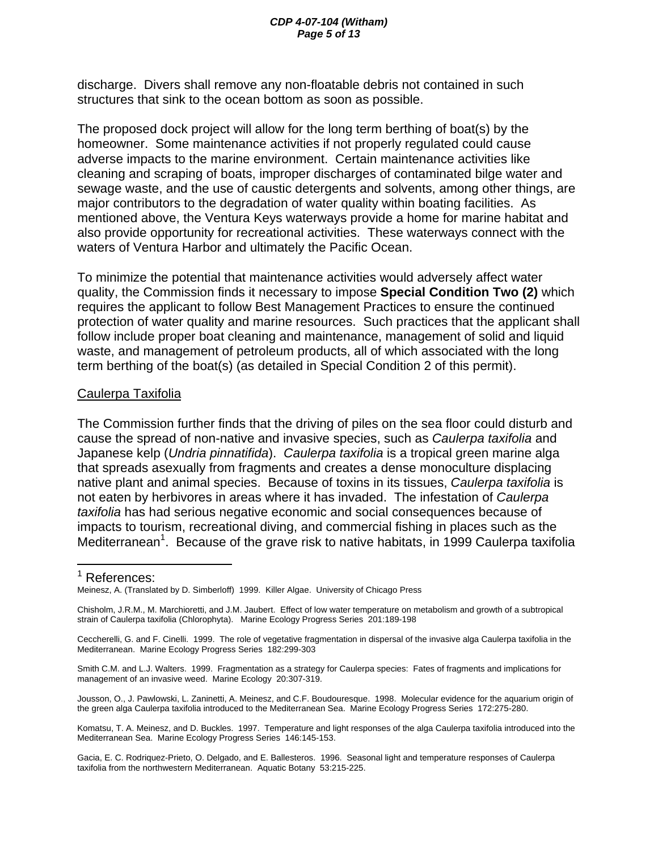discharge. Divers shall remove any non-floatable debris not contained in such structures that sink to the ocean bottom as soon as possible.

The proposed dock project will allow for the long term berthing of boat(s) by the homeowner. Some maintenance activities if not properly regulated could cause adverse impacts to the marine environment. Certain maintenance activities like cleaning and scraping of boats, improper discharges of contaminated bilge water and sewage waste, and the use of caustic detergents and solvents, among other things, are major contributors to the degradation of water quality within boating facilities. As mentioned above, the Ventura Keys waterways provide a home for marine habitat and also provide opportunity for recreational activities. These waterways connect with the waters of Ventura Harbor and ultimately the Pacific Ocean.

To minimize the potential that maintenance activities would adversely affect water quality, the Commission finds it necessary to impose **Special Condition Two (2)** which requires the applicant to follow Best Management Practices to ensure the continued protection of water quality and marine resources. Such practices that the applicant shall follow include proper boat cleaning and maintenance, management of solid and liquid waste, and management of petroleum products, all of which associated with the long term berthing of the boat(s) (as detailed in Special Condition 2 of this permit).

#### Caulerpa Taxifolia

The Commission further finds that the driving of piles on the sea floor could disturb and cause the spread of non-native and invasive species, such as *Caulerpa taxifolia* and Japanese kelp (*Undria pinnatifida*). *Caulerpa taxifolia* is a tropical green marine alga that spreads asexually from fragments and creates a dense monoculture displacing native plant and animal species. Because of toxins in its tissues, *Caulerpa taxifolia* is not eaten by herbivores in areas where it has invaded. The infestation of *Caulerpa taxifolia* has had serious negative economic and social consequences because of impacts to tourism, recreational diving, and commercial fishing in places such as the Mediterranean<sup>1</sup>. Because of the grave risk to native habitats, in 1999 Caulerpa taxifolia

 $\overline{a}$ 

<sup>&</sup>lt;sup>1</sup> References:

Meinesz, A. (Translated by D. Simberloff) 1999. Killer Algae. University of Chicago Press

Chisholm, J.R.M., M. Marchioretti, and J.M. Jaubert. Effect of low water temperature on metabolism and growth of a subtropical strain of Caulerpa taxifolia (Chlorophyta). Marine Ecology Progress Series 201:189-198

Ceccherelli, G. and F. Cinelli. 1999. The role of vegetative fragmentation in dispersal of the invasive alga Caulerpa taxifolia in the Mediterranean. Marine Ecology Progress Series 182:299-303

Smith C.M. and L.J. Walters. 1999. Fragmentation as a strategy for Caulerpa species: Fates of fragments and implications for management of an invasive weed. Marine Ecology 20:307-319.

Jousson, O., J. Pawlowski, L. Zaninetti, A. Meinesz, and C.F. Boudouresque. 1998. Molecular evidence for the aquarium origin of the green alga Caulerpa taxifolia introduced to the Mediterranean Sea. Marine Ecology Progress Series 172:275-280.

Komatsu, T. A. Meinesz, and D. Buckles. 1997. Temperature and light responses of the alga Caulerpa taxifolia introduced into the Mediterranean Sea. Marine Ecology Progress Series 146:145-153.

Gacia, E. C. Rodriquez-Prieto, O. Delgado, and E. Ballesteros. 1996. Seasonal light and temperature responses of Caulerpa taxifolia from the northwestern Mediterranean. Aquatic Botany 53:215-225.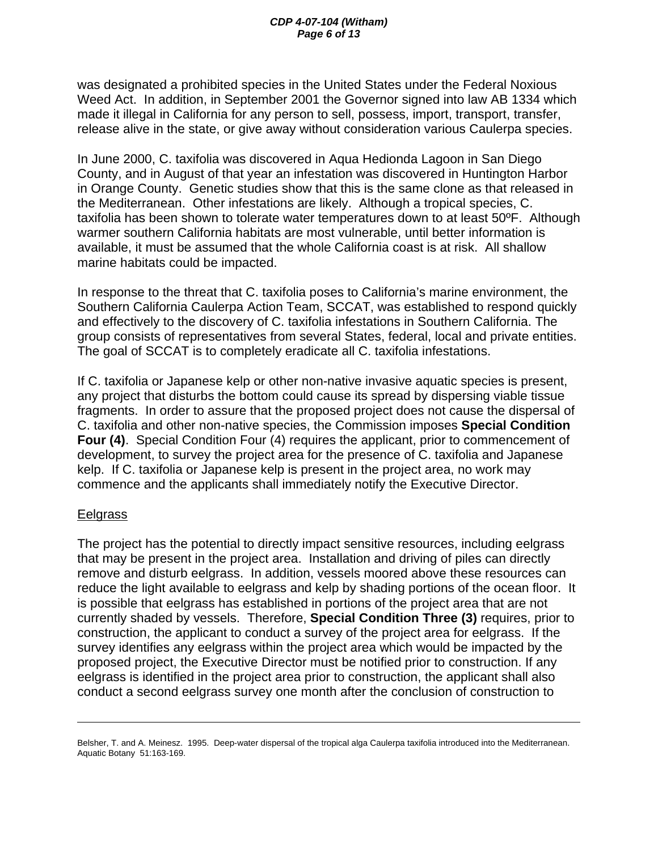was designated a prohibited species in the United States under the Federal Noxious Weed Act. In addition, in September 2001 the Governor signed into law AB 1334 which made it illegal in California for any person to sell, possess, import, transport, transfer, release alive in the state, or give away without consideration various Caulerpa species.

In June 2000, C. taxifolia was discovered in Aqua Hedionda Lagoon in San Diego County, and in August of that year an infestation was discovered in Huntington Harbor in Orange County. Genetic studies show that this is the same clone as that released in the Mediterranean. Other infestations are likely. Although a tropical species, C. taxifolia has been shown to tolerate water temperatures down to at least 50ºF. Although warmer southern California habitats are most vulnerable, until better information is available, it must be assumed that the whole California coast is at risk. All shallow marine habitats could be impacted.

In response to the threat that C. taxifolia poses to California's marine environment, the Southern California Caulerpa Action Team, SCCAT, was established to respond quickly and effectively to the discovery of C. taxifolia infestations in Southern California. The group consists of representatives from several States, federal, local and private entities. The goal of SCCAT is to completely eradicate all C. taxifolia infestations.

If C. taxifolia or Japanese kelp or other non-native invasive aquatic species is present, any project that disturbs the bottom could cause its spread by dispersing viable tissue fragments. In order to assure that the proposed project does not cause the dispersal of C. taxifolia and other non-native species, the Commission imposes **Special Condition Four (4)**. Special Condition Four (4) requires the applicant, prior to commencement of development, to survey the project area for the presence of C. taxifolia and Japanese kelp. If C. taxifolia or Japanese kelp is present in the project area, no work may commence and the applicants shall immediately notify the Executive Director.

#### **Eelgrass**

 $\overline{a}$ 

The project has the potential to directly impact sensitive resources, including eelgrass that may be present in the project area. Installation and driving of piles can directly remove and disturb eelgrass. In addition, vessels moored above these resources can reduce the light available to eelgrass and kelp by shading portions of the ocean floor. It is possible that eelgrass has established in portions of the project area that are not currently shaded by vessels. Therefore, **Special Condition Three (3)** requires, prior to construction, the applicant to conduct a survey of the project area for eelgrass. If the survey identifies any eelgrass within the project area which would be impacted by the proposed project, the Executive Director must be notified prior to construction. If any eelgrass is identified in the project area prior to construction, the applicant shall also conduct a second eelgrass survey one month after the conclusion of construction to

Belsher, T. and A. Meinesz. 1995. Deep-water dispersal of the tropical alga Caulerpa taxifolia introduced into the Mediterranean. Aquatic Botany 51:163-169.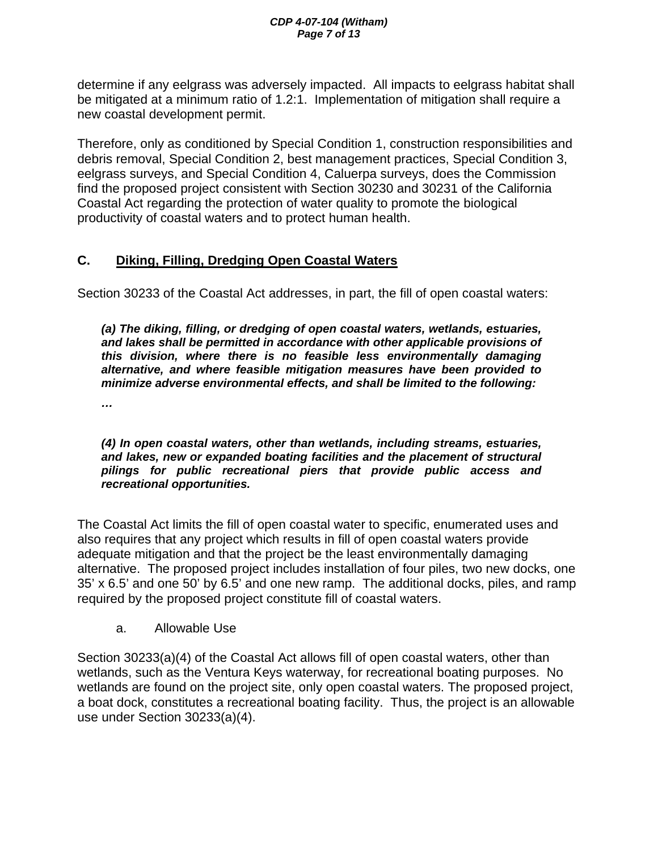determine if any eelgrass was adversely impacted. All impacts to eelgrass habitat shall be mitigated at a minimum ratio of 1.2:1. Implementation of mitigation shall require a new coastal development permit.

Therefore, only as conditioned by Special Condition 1, construction responsibilities and debris removal, Special Condition 2, best management practices, Special Condition 3, eelgrass surveys, and Special Condition 4, Caluerpa surveys, does the Commission find the proposed project consistent with Section 30230 and 30231 of the California Coastal Act regarding the protection of water quality to promote the biological productivity of coastal waters and to protect human health.

# **C. Diking, Filling, Dredging Open Coastal Waters**

Section 30233 of the Coastal Act addresses, in part, the fill of open coastal waters:

*(a) The diking, filling, or dredging of open coastal waters, wetlands, estuaries, and lakes shall be permitted in accordance with other applicable provisions of this division, where there is no feasible less environmentally damaging alternative, and where feasible mitigation measures have been provided to minimize adverse environmental effects, and shall be limited to the following:* 

*…* 

*(4) In open coastal waters, other than wetlands, including streams, estuaries, and lakes, new or expanded boating facilities and the placement of structural pilings for public recreational piers that provide public access and recreational opportunities.* 

The Coastal Act limits the fill of open coastal water to specific, enumerated uses and also requires that any project which results in fill of open coastal waters provide adequate mitigation and that the project be the least environmentally damaging alternative. The proposed project includes installation of four piles, two new docks, one 35' x 6.5' and one 50' by 6.5' and one new ramp. The additional docks, piles, and ramp required by the proposed project constitute fill of coastal waters.

a. Allowable Use

Section 30233(a)(4) of the Coastal Act allows fill of open coastal waters, other than wetlands, such as the Ventura Keys waterway, for recreational boating purposes. No wetlands are found on the project site, only open coastal waters. The proposed project, a boat dock, constitutes a recreational boating facility. Thus, the project is an allowable use under Section 30233(a)(4).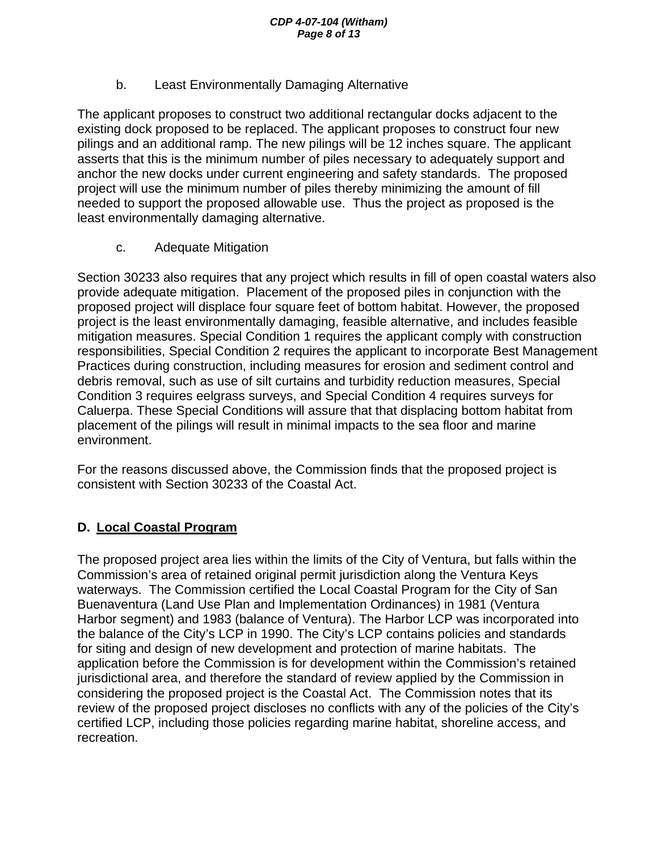## b. Least Environmentally Damaging Alternative

The applicant proposes to construct two additional rectangular docks adjacent to the existing dock proposed to be replaced. The applicant proposes to construct four new pilings and an additional ramp. The new pilings will be 12 inches square. The applicant asserts that this is the minimum number of piles necessary to adequately support and anchor the new docks under current engineering and safety standards. The proposed project will use the minimum number of piles thereby minimizing the amount of fill needed to support the proposed allowable use. Thus the project as proposed is the least environmentally damaging alternative.

## c. Adequate Mitigation

Section 30233 also requires that any project which results in fill of open coastal waters also provide adequate mitigation. Placement of the proposed piles in conjunction with the proposed project will displace four square feet of bottom habitat. However, the proposed project is the least environmentally damaging, feasible alternative, and includes feasible mitigation measures. Special Condition 1 requires the applicant comply with construction responsibilities, Special Condition 2 requires the applicant to incorporate Best Management Practices during construction, including measures for erosion and sediment control and debris removal, such as use of silt curtains and turbidity reduction measures, Special Condition 3 requires eelgrass surveys, and Special Condition 4 requires surveys for Caluerpa. These Special Conditions will assure that that displacing bottom habitat from placement of the pilings will result in minimal impacts to the sea floor and marine environment.

For the reasons discussed above, the Commission finds that the proposed project is consistent with Section 30233 of the Coastal Act.

# **D. Local Coastal Program**

The proposed project area lies within the limits of the City of Ventura, but falls within the Commission's area of retained original permit jurisdiction along the Ventura Keys waterways. The Commission certified the Local Coastal Program for the City of San Buenaventura (Land Use Plan and Implementation Ordinances) in 1981 (Ventura Harbor segment) and 1983 (balance of Ventura). The Harbor LCP was incorporated into the balance of the City's LCP in 1990. The City's LCP contains policies and standards for siting and design of new development and protection of marine habitats. The application before the Commission is for development within the Commission's retained jurisdictional area, and therefore the standard of review applied by the Commission in considering the proposed project is the Coastal Act. The Commission notes that its review of the proposed project discloses no conflicts with any of the policies of the City's certified LCP, including those policies regarding marine habitat, shoreline access, and recreation.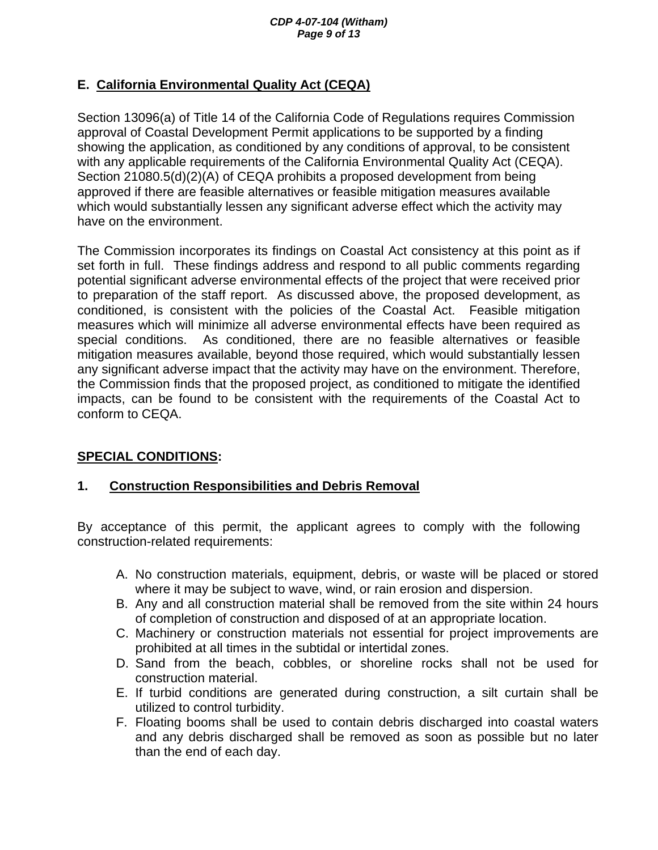# **E. California Environmental Quality Act (CEQA)**

Section 13096(a) of Title 14 of the California Code of Regulations requires Commission approval of Coastal Development Permit applications to be supported by a finding showing the application, as conditioned by any conditions of approval, to be consistent with any applicable requirements of the California Environmental Quality Act (CEQA). Section 21080.5(d)(2)(A) of CEQA prohibits a proposed development from being approved if there are feasible alternatives or feasible mitigation measures available which would substantially lessen any significant adverse effect which the activity may have on the environment.

The Commission incorporates its findings on Coastal Act consistency at this point as if set forth in full. These findings address and respond to all public comments regarding potential significant adverse environmental effects of the project that were received prior to preparation of the staff report. As discussed above, the proposed development, as conditioned, is consistent with the policies of the Coastal Act. Feasible mitigation measures which will minimize all adverse environmental effects have been required as special conditions. As conditioned, there are no feasible alternatives or feasible mitigation measures available, beyond those required, which would substantially lessen any significant adverse impact that the activity may have on the environment. Therefore, the Commission finds that the proposed project, as conditioned to mitigate the identified impacts, can be found to be consistent with the requirements of the Coastal Act to conform to CEQA.

# **SPECIAL CONDITIONS:**

## **1. Construction Responsibilities and Debris Removal**

By acceptance of this permit, the applicant agrees to comply with the following construction-related requirements:

- A. No construction materials, equipment, debris, or waste will be placed or stored where it may be subject to wave, wind, or rain erosion and dispersion.
- B. Any and all construction material shall be removed from the site within 24 hours of completion of construction and disposed of at an appropriate location.
- C. Machinery or construction materials not essential for project improvements are prohibited at all times in the subtidal or intertidal zones.
- D. Sand from the beach, cobbles, or shoreline rocks shall not be used for construction material.
- E. If turbid conditions are generated during construction, a silt curtain shall be utilized to control turbidity.
- F. Floating booms shall be used to contain debris discharged into coastal waters and any debris discharged shall be removed as soon as possible but no later than the end of each day.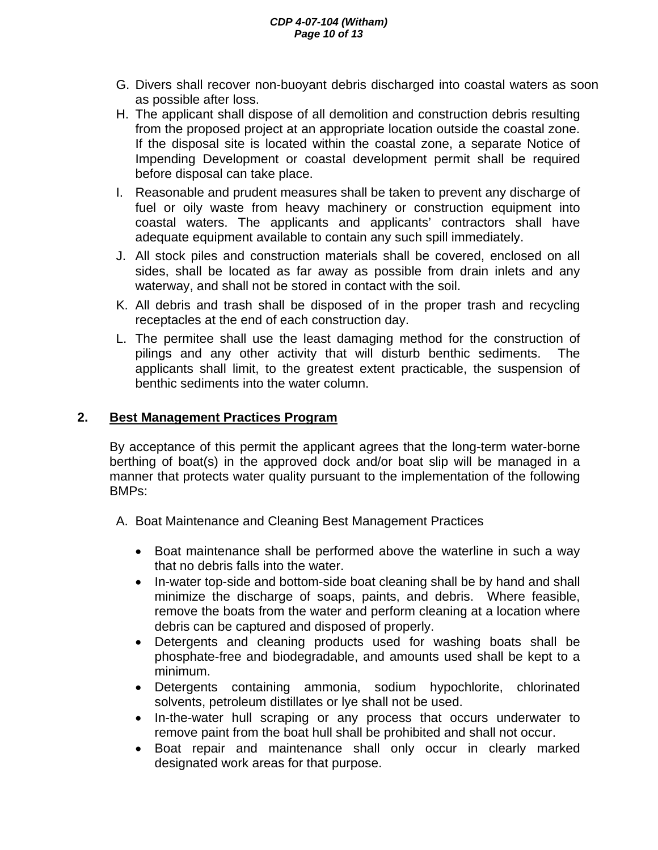#### *CDP 4-07-104 (Witham) Page 10 of 13*

- G. Divers shall recover non-buoyant debris discharged into coastal waters as soon as possible after loss.
- H. The applicant shall dispose of all demolition and construction debris resulting from the proposed project at an appropriate location outside the coastal zone. If the disposal site is located within the coastal zone, a separate Notice of Impending Development or coastal development permit shall be required before disposal can take place.
- I. Reasonable and prudent measures shall be taken to prevent any discharge of fuel or oily waste from heavy machinery or construction equipment into coastal waters. The applicants and applicants' contractors shall have adequate equipment available to contain any such spill immediately.
- J. All stock piles and construction materials shall be covered, enclosed on all sides, shall be located as far away as possible from drain inlets and any waterway, and shall not be stored in contact with the soil.
- K. All debris and trash shall be disposed of in the proper trash and recycling receptacles at the end of each construction day.
- L. The permitee shall use the least damaging method for the construction of pilings and any other activity that will disturb benthic sediments. The applicants shall limit, to the greatest extent practicable, the suspension of benthic sediments into the water column.

#### **2. Best Management Practices Program**

 By acceptance of this permit the applicant agrees that the long-term water-borne berthing of boat(s) in the approved dock and/or boat slip will be managed in a manner that protects water quality pursuant to the implementation of the following BMPs:

- A. Boat Maintenance and Cleaning Best Management Practices
	- Boat maintenance shall be performed above the waterline in such a way that no debris falls into the water.
	- In-water top-side and bottom-side boat cleaning shall be by hand and shall minimize the discharge of soaps, paints, and debris. Where feasible, remove the boats from the water and perform cleaning at a location where debris can be captured and disposed of properly.
	- Detergents and cleaning products used for washing boats shall be phosphate-free and biodegradable, and amounts used shall be kept to a minimum.
	- Detergents containing ammonia, sodium hypochlorite, chlorinated solvents, petroleum distillates or lye shall not be used.
	- In-the-water hull scraping or any process that occurs underwater to remove paint from the boat hull shall be prohibited and shall not occur.
	- Boat repair and maintenance shall only occur in clearly marked designated work areas for that purpose.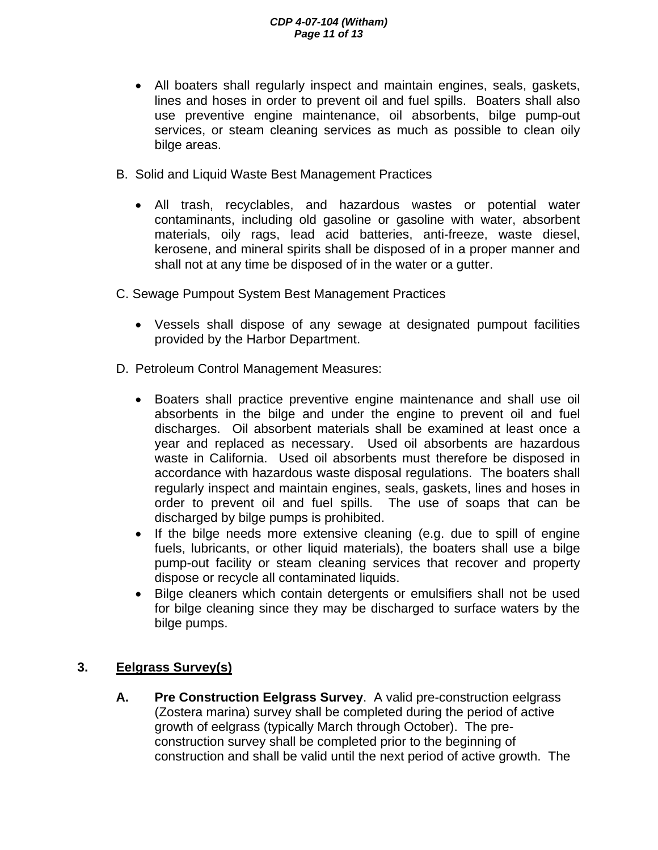- All boaters shall regularly inspect and maintain engines, seals, gaskets, lines and hoses in order to prevent oil and fuel spills. Boaters shall also use preventive engine maintenance, oil absorbents, bilge pump-out services, or steam cleaning services as much as possible to clean oily bilge areas.
- B. Solid and Liquid Waste Best Management Practices
	- All trash, recyclables, and hazardous wastes or potential water contaminants, including old gasoline or gasoline with water, absorbent materials, oily rags, lead acid batteries, anti-freeze, waste diesel, kerosene, and mineral spirits shall be disposed of in a proper manner and shall not at any time be disposed of in the water or a gutter.
- C. Sewage Pumpout System Best Management Practices
	- Vessels shall dispose of any sewage at designated pumpout facilities provided by the Harbor Department.
- D. Petroleum Control Management Measures:
	- Boaters shall practice preventive engine maintenance and shall use oil absorbents in the bilge and under the engine to prevent oil and fuel discharges. Oil absorbent materials shall be examined at least once a year and replaced as necessary. Used oil absorbents are hazardous waste in California. Used oil absorbents must therefore be disposed in accordance with hazardous waste disposal regulations. The boaters shall regularly inspect and maintain engines, seals, gaskets, lines and hoses in order to prevent oil and fuel spills. The use of soaps that can be discharged by bilge pumps is prohibited.
	- If the bilge needs more extensive cleaning (e.g. due to spill of engine fuels, lubricants, or other liquid materials), the boaters shall use a bilge pump-out facility or steam cleaning services that recover and property dispose or recycle all contaminated liquids.
	- Bilge cleaners which contain detergents or emulsifiers shall not be used for bilge cleaning since they may be discharged to surface waters by the bilge pumps.

## **3. Eelgrass Survey(s)**

**A. Pre Construction Eelgrass Survey**. A valid pre-construction eelgrass (Zostera marina) survey shall be completed during the period of active growth of eelgrass (typically March through October). The preconstruction survey shall be completed prior to the beginning of construction and shall be valid until the next period of active growth. The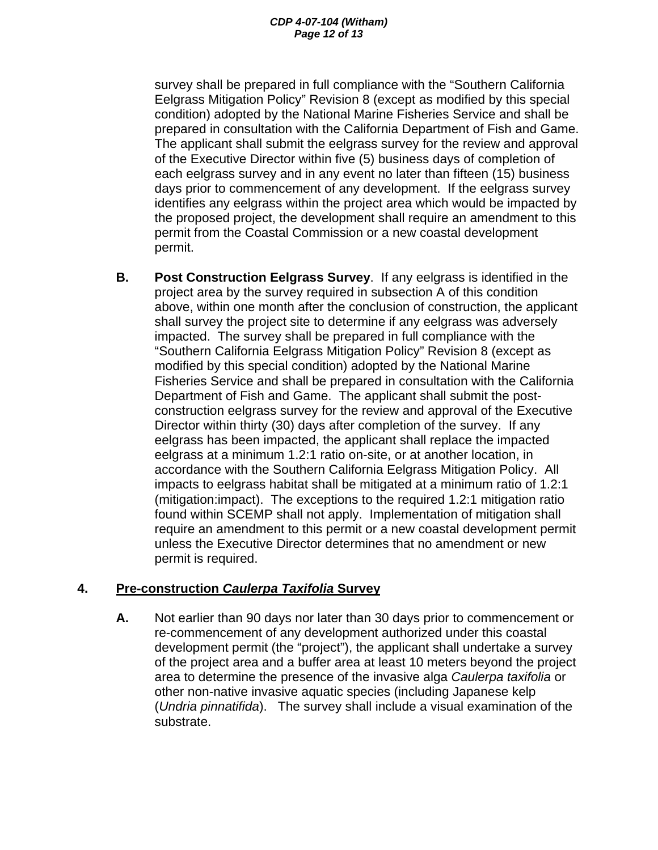survey shall be prepared in full compliance with the "Southern California Eelgrass Mitigation Policy" Revision 8 (except as modified by this special condition) adopted by the National Marine Fisheries Service and shall be prepared in consultation with the California Department of Fish and Game. The applicant shall submit the eelgrass survey for the review and approval of the Executive Director within five (5) business days of completion of each eelgrass survey and in any event no later than fifteen (15) business days prior to commencement of any development. If the eelgrass survey identifies any eelgrass within the project area which would be impacted by the proposed project, the development shall require an amendment to this permit from the Coastal Commission or a new coastal development permit.

**B. Post Construction Eelgrass Survey**. If any eelgrass is identified in the project area by the survey required in subsection A of this condition above, within one month after the conclusion of construction, the applicant shall survey the project site to determine if any eelgrass was adversely impacted. The survey shall be prepared in full compliance with the "Southern California Eelgrass Mitigation Policy" Revision 8 (except as modified by this special condition) adopted by the National Marine Fisheries Service and shall be prepared in consultation with the California Department of Fish and Game. The applicant shall submit the postconstruction eelgrass survey for the review and approval of the Executive Director within thirty (30) days after completion of the survey. If any eelgrass has been impacted, the applicant shall replace the impacted eelgrass at a minimum 1.2:1 ratio on-site, or at another location, in accordance with the Southern California Eelgrass Mitigation Policy. All impacts to eelgrass habitat shall be mitigated at a minimum ratio of 1.2:1 (mitigation:impact). The exceptions to the required 1.2:1 mitigation ratio found within SCEMP shall not apply. Implementation of mitigation shall require an amendment to this permit or a new coastal development permit unless the Executive Director determines that no amendment or new permit is required.

## **4. Pre-construction** *Caulerpa Taxifolia* **Survey**

**A.** Not earlier than 90 days nor later than 30 days prior to commencement or re-commencement of any development authorized under this coastal development permit (the "project"), the applicant shall undertake a survey of the project area and a buffer area at least 10 meters beyond the project area to determine the presence of the invasive alga *Caulerpa taxifolia* or other non-native invasive aquatic species (including Japanese kelp (*Undria pinnatifida*). The survey shall include a visual examination of the substrate.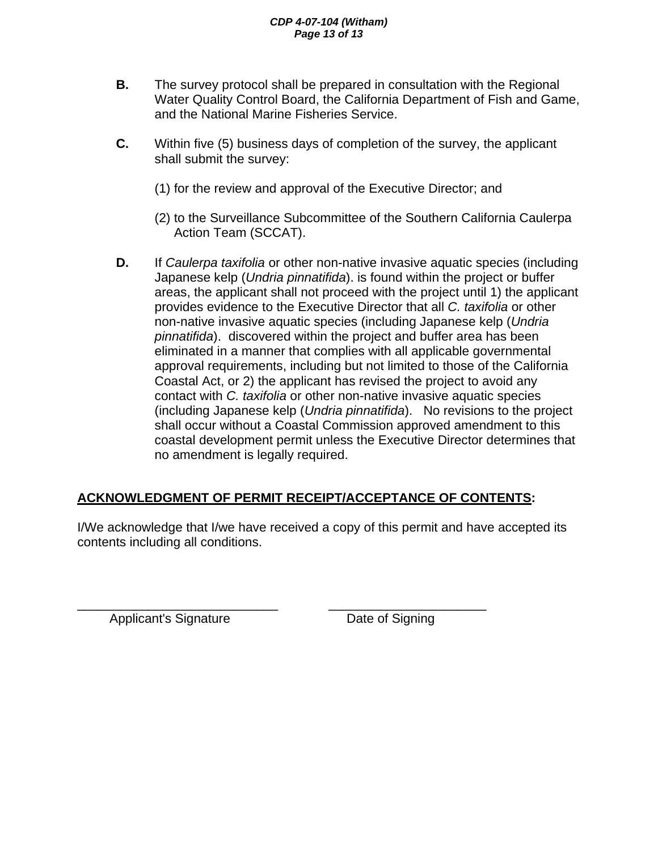#### *CDP 4-07-104 (Witham) Page 13 of 13*

- **B.** The survey protocol shall be prepared in consultation with the Regional Water Quality Control Board, the California Department of Fish and Game, and the National Marine Fisheries Service.
- **C.** Within five (5) business days of completion of the survey, the applicant shall submit the survey:
	- (1) for the review and approval of the Executive Director; and
	- (2) to the Surveillance Subcommittee of the Southern California Caulerpa Action Team (SCCAT).
- **D.** If *Caulerpa taxifolia* or other non-native invasive aquatic species (including Japanese kelp (*Undria pinnatifida*). is found within the project or buffer areas, the applicant shall not proceed with the project until 1) the applicant provides evidence to the Executive Director that all *C. taxifolia* or other non-native invasive aquatic species (including Japanese kelp (*Undria pinnatifida*). discovered within the project and buffer area has been eliminated in a manner that complies with all applicable governmental approval requirements, including but not limited to those of the California Coastal Act, or 2) the applicant has revised the project to avoid any contact with *C. taxifolia* or other non-native invasive aquatic species (including Japanese kelp (*Undria pinnatifida*). No revisions to the project shall occur without a Coastal Commission approved amendment to this coastal development permit unless the Executive Director determines that no amendment is legally required.

# **ACKNOWLEDGMENT OF PERMIT RECEIPT/ACCEPTANCE OF CONTENTS:**

I/We acknowledge that I/we have received a copy of this permit and have accepted its contents including all conditions.

\_\_\_\_\_\_\_\_\_\_\_\_\_\_\_\_\_\_\_\_\_\_\_\_\_\_\_\_ \_\_\_\_\_\_\_\_\_\_\_\_\_\_\_\_\_\_\_\_\_\_ Applicant's Signature **Date of Signing**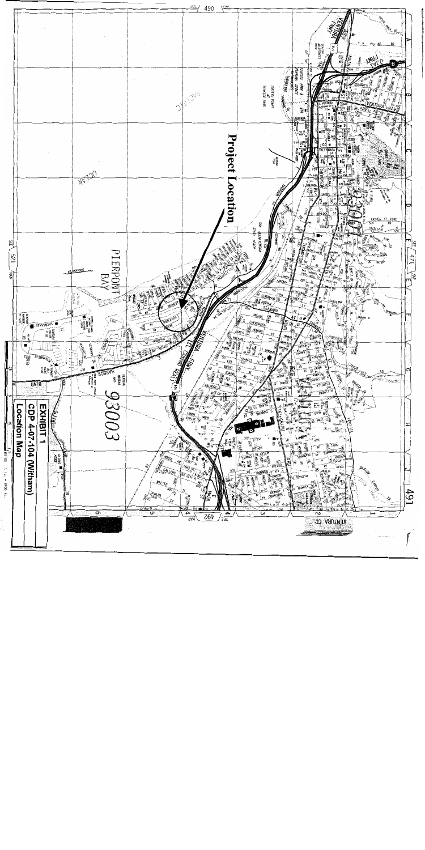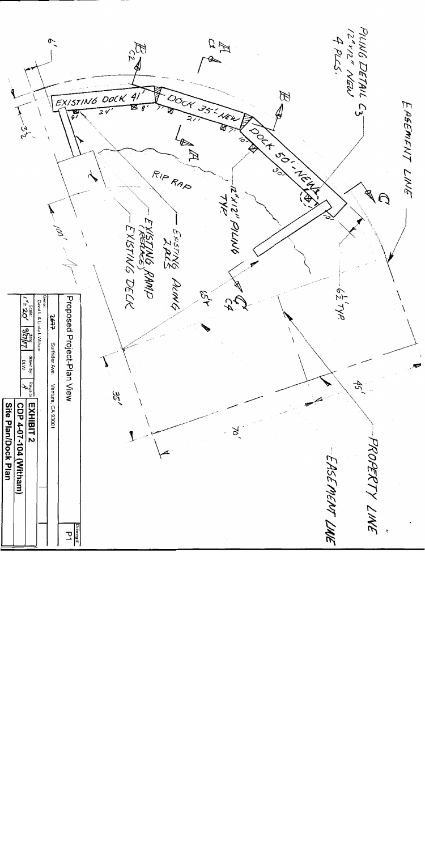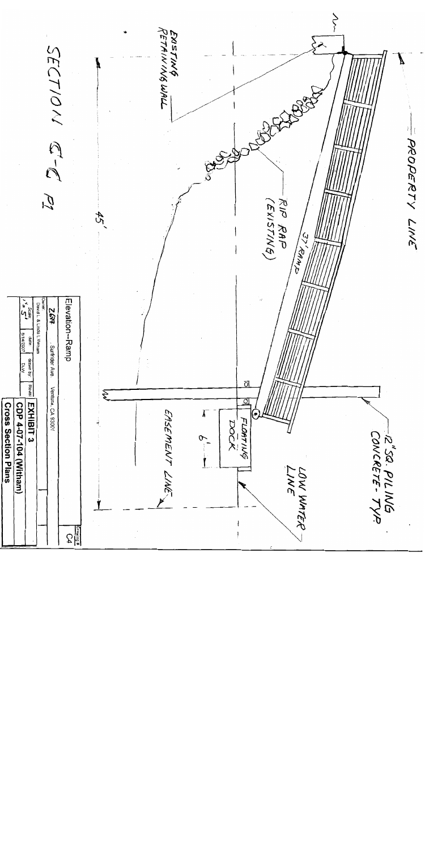